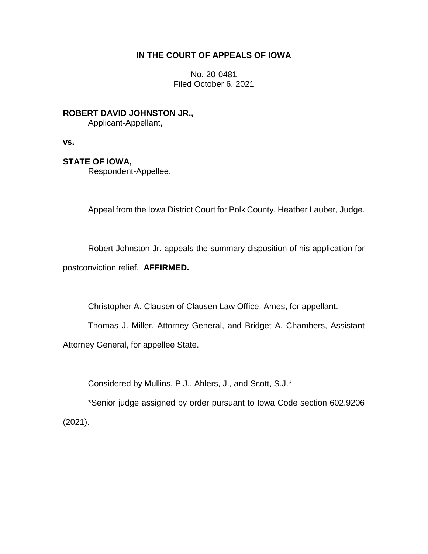## **IN THE COURT OF APPEALS OF IOWA**

No. 20-0481 Filed October 6, 2021

**ROBERT DAVID JOHNSTON JR.,** Applicant-Appellant,

**vs.**

## **STATE OF IOWA,**

Respondent-Appellee.

Appeal from the Iowa District Court for Polk County, Heather Lauber, Judge.

Robert Johnston Jr. appeals the summary disposition of his application for postconviction relief. **AFFIRMED.**

\_\_\_\_\_\_\_\_\_\_\_\_\_\_\_\_\_\_\_\_\_\_\_\_\_\_\_\_\_\_\_\_\_\_\_\_\_\_\_\_\_\_\_\_\_\_\_\_\_\_\_\_\_\_\_\_\_\_\_\_\_\_\_\_

Christopher A. Clausen of Clausen Law Office, Ames, for appellant.

Thomas J. Miller, Attorney General, and Bridget A. Chambers, Assistant Attorney General, for appellee State.

Considered by Mullins, P.J., Ahlers, J., and Scott, S.J.\*

\*Senior judge assigned by order pursuant to Iowa Code section 602.9206 (2021).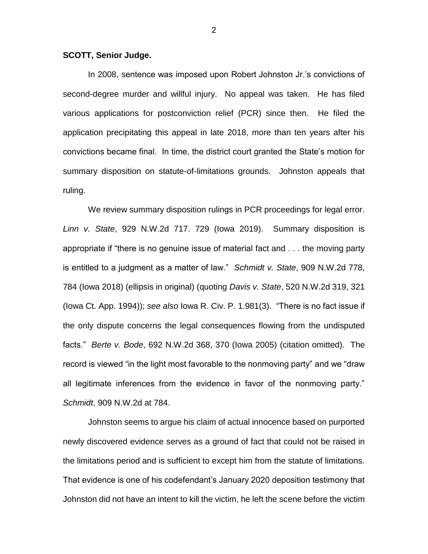## **SCOTT, Senior Judge.**

In 2008, sentence was imposed upon Robert Johnston Jr.'s convictions of second-degree murder and willful injury. No appeal was taken. He has filed various applications for postconviction relief (PCR) since then. He filed the application precipitating this appeal in late 2018, more than ten years after his convictions became final. In time, the district court granted the State's motion for summary disposition on statute-of-limitations grounds. Johnston appeals that ruling.

We review summary disposition rulings in PCR proceedings for legal error. *Linn v. State*, 929 N.W.2d 717. 729 (Iowa 2019). Summary disposition is appropriate if "there is no genuine issue of material fact and . . . the moving party is entitled to a judgment as a matter of law." *Schmidt v. State*, 909 N.W.2d 778, 784 (Iowa 2018) (ellipsis in original) (quoting *Davis v. State*, 520 N.W.2d 319, 321 (Iowa Ct. App. 1994)); *see also* Iowa R. Civ. P. 1.981(3). "There is no fact issue if the only dispute concerns the legal consequences flowing from the undisputed facts." *Berte v. Bode*, 692 N.W.2d 368, 370 (Iowa 2005) (citation omitted). The record is viewed "in the light most favorable to the nonmoving party" and we "draw all legitimate inferences from the evidence in favor of the nonmoving party." *Schmidt*, 909 N.W.2d at 784.

Johnston seems to argue his claim of actual innocence based on purported newly discovered evidence serves as a ground of fact that could not be raised in the limitations period and is sufficient to except him from the statute of limitations. That evidence is one of his codefendant's January 2020 deposition testimony that Johnston did not have an intent to kill the victim, he left the scene before the victim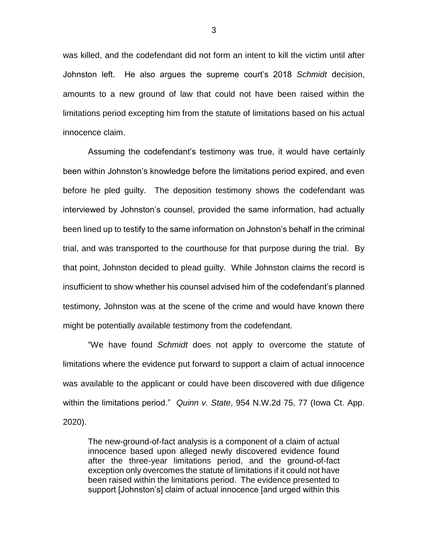was killed, and the codefendant did not form an intent to kill the victim until after Johnston left. He also argues the supreme court's 2018 *Schmidt* decision, amounts to a new ground of law that could not have been raised within the limitations period excepting him from the statute of limitations based on his actual innocence claim.

Assuming the codefendant's testimony was true, it would have certainly been within Johnston's knowledge before the limitations period expired, and even before he pled guilty. The deposition testimony shows the codefendant was interviewed by Johnston's counsel, provided the same information, had actually been lined up to testify to the same information on Johnston's behalf in the criminal trial, and was transported to the courthouse for that purpose during the trial. By that point, Johnston decided to plead guilty. While Johnston claims the record is insufficient to show whether his counsel advised him of the codefendant's planned testimony, Johnston was at the scene of the crime and would have known there might be potentially available testimony from the codefendant.

"We have found *Schmidt* does not apply to overcome the statute of limitations where the evidence put forward to support a claim of actual innocence was available to the applicant or could have been discovered with due diligence within the limitations period." *Quinn v. State*, 954 N.W.2d 75, 77 (Iowa Ct. App. 2020).

The new-ground-of-fact analysis is a component of a claim of actual innocence based upon alleged newly discovered evidence found after the three-year limitations period, and the ground-of-fact exception only overcomes the statute of limitations if it could not have been raised within the limitations period. The evidence presented to support [Johnston's] claim of actual innocence [and urged within this